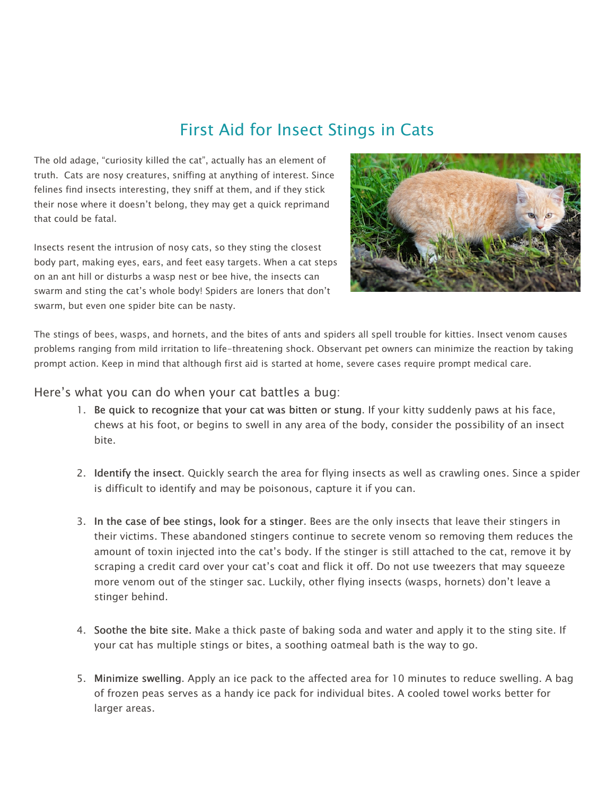# First Aid for Insect Stings in Cats

The old adage, "curiosity killed the cat", actually has an element of truth. Cats are nosy creatures, sniffing at anything of interest. Since felines find insects interesting, they sniff at them, and if they stick their nose where it doesn't belong, they may get a quick reprimand that could be fatal.

Insects resent the intrusion of nosy cats, so they sting the closest body part, making eyes, ears, and feet easy targets. When a cat steps on an ant hill or disturbs a wasp nest or bee hive, the insects can swarm and sting the cat's whole body! Spiders are loners that don't swarm, but even one spider bite can be nasty.



The stings of bees, wasps, and hornets, and the bites of ants and spiders all spell trouble for kitties. Insect venom causes problems ranging from mild irritation to life-threatening shock. Observant pet owners can minimize the reaction by taking prompt action. Keep in mind that although first aid is started at home, severe cases require prompt medical care.

#### Here's what you can do when your cat battles a bug:

- 1. Be quick to recognize that your cat was bitten or stung. If your kitty suddenly paws at his face, chews at his foot, or begins to swell in any area of the body, consider the possibility of an insect bite.
- 2. Identify the insect. Quickly search the area for flying insects as well as crawling ones. Since a spider is difficult to identify and may be poisonous, capture it if you can.
- 3. In the case of bee stings, look for a stinger. Bees are the only insects that leave their stingers in their victims. These abandoned stingers continue to secrete venom so removing them reduces the amount of toxin injected into the cat's body. If the stinger is still attached to the cat, remove it by scraping a credit card over your cat's coat and flick it off. Do not use tweezers that may squeeze more venom out of the stinger sac. Luckily, other flying insects (wasps, hornets) don't leave a stinger behind.
- 4. Soothe the bite site. Make a thick paste of baking soda and water and apply it to the sting site. If your cat has multiple stings or bites, a soothing oatmeal bath is the way to go.
- 5. Minimize swelling. Apply an ice pack to the affected area for 10 minutes to reduce swelling. A bag of frozen peas serves as a handy ice pack for individual bites. A cooled towel works better for larger areas.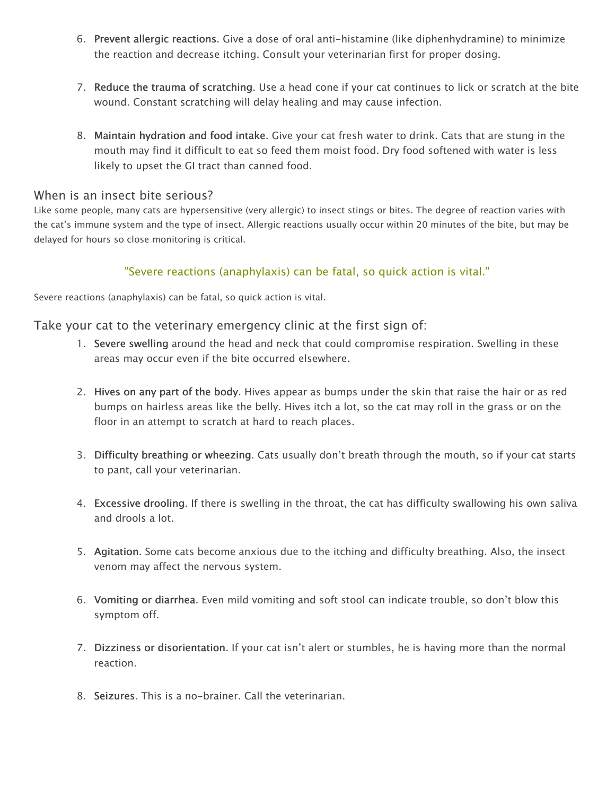- 6. Prevent allergic reactions. Give a dose of oral anti-histamine (like diphenhydramine) to minimize the reaction and decrease itching. Consult your veterinarian first for proper dosing.
- 7. Reduce the trauma of scratching. Use a head cone if your cat continues to lick or scratch at the bite wound. Constant scratching will delay healing and may cause infection.
- 8. Maintain hydration and food intake. Give your cat fresh water to drink. Cats that are stung in the mouth may find it difficult to eat so feed them moist food. Dry food softened with water is less likely to upset the GI tract than canned food.

### When is an insect bite serious?

Like some people, many cats are hypersensitive (very allergic) to insect stings or bites. The degree of reaction varies with the cat's immune system and the type of insect. Allergic reactions usually occur within 20 minutes of the bite, but may be delayed for hours so close monitoring is critical.

## "Severe reactions (anaphylaxis) can be fatal, so quick action is vital."

Severe reactions (anaphylaxis) can be fatal, so quick action is vital.

## Take your cat to the veterinary emergency clinic at the first sign of:

- 1. Severe swelling around the head and neck that could compromise respiration. Swelling in these areas may occur even if the bite occurred elsewhere.
- 2. Hives on any part of the body. Hives appear as bumps under the skin that raise the hair or as red bumps on hairless areas like the belly. Hives itch a lot, so the cat may roll in the grass or on the floor in an attempt to scratch at hard to reach places.
- 3. Difficulty breathing or wheezing. Cats usually don't breath through the mouth, so if your cat starts to pant, call your veterinarian.
- 4. Excessive drooling. If there is swelling in the throat, the cat has difficulty swallowing his own saliva and drools a lot.
- 5. Agitation. Some cats become anxious due to the itching and difficulty breathing. Also, the insect venom may affect the nervous system.
- 6. Vomiting or diarrhea. Even mild vomiting and soft stool can indicate trouble, so don't blow this symptom off.
- 7. Dizziness or disorientation. If your cat isn't alert or stumbles, he is having more than the normal reaction.
- 8. Seizures. This is a no-brainer. Call the veterinarian.